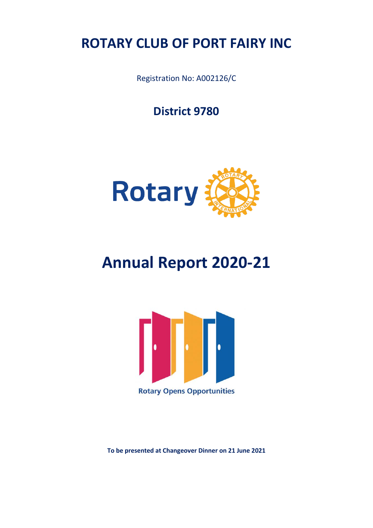## **ROTARY CLUB OF PORT FAIRY INC**

Registration No: A002126/C

**District 9780**



# **Annual Report 2020-21**



**To be presented at Changeover Dinner on 21 June 2021**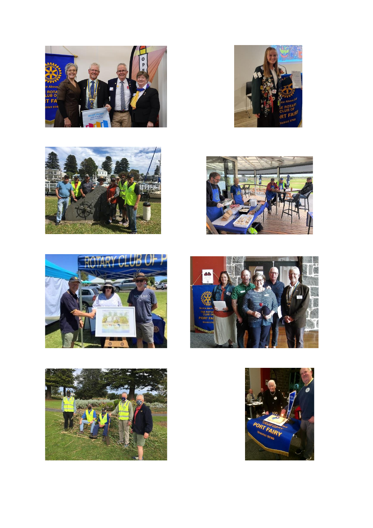













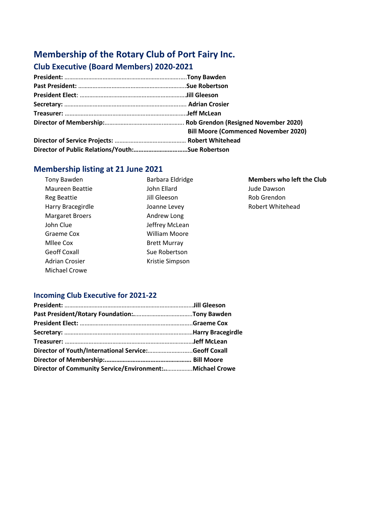# **Membership of the Rotary Club of Port Fairy Inc.**

## **Club Executive (Board Members) 2020-2021**

| <b>Bill Moore (Commenced November 2020)</b> |
|---------------------------------------------|
|                                             |
|                                             |

### **Membership listing at 21 June 2021**

| Tony Bawden            | <b>Members who left the Club</b><br>Barbara Eldridge |                  |  |  |
|------------------------|------------------------------------------------------|------------------|--|--|
| Maureen Beattie        | John Ellard                                          | Jude Dawson      |  |  |
| <b>Reg Beattie</b>     | Jill Gleeson                                         | Rob Grendon      |  |  |
| Harry Bracegirdle      | Joanne Levey                                         | Robert Whitehead |  |  |
| <b>Margaret Broers</b> | Andrew Long                                          |                  |  |  |
| John Clue              | Jeffrey McLean                                       |                  |  |  |
| Graeme Cox             | <b>William Moore</b>                                 |                  |  |  |
| Mllee Cox              | <b>Brett Murray</b>                                  |                  |  |  |
| <b>Geoff Coxall</b>    | Sue Robertson                                        |                  |  |  |
| <b>Adrian Crosier</b>  | Kristie Simpson                                      |                  |  |  |
| Michael Crowe          |                                                      |                  |  |  |

### **Incoming Club Executive for 2021-22**

| Director of Youth/International Service:Geoff Coxall |  |  |  |  |
|------------------------------------------------------|--|--|--|--|
|                                                      |  |  |  |  |
|                                                      |  |  |  |  |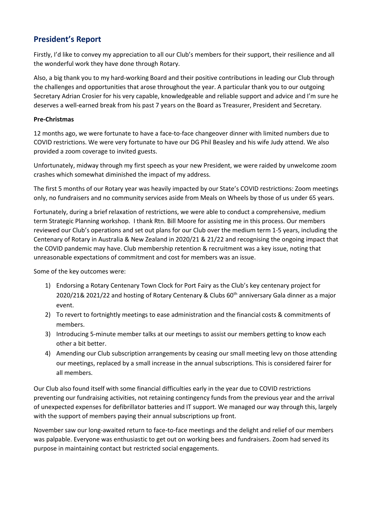### **President's Report**

Firstly, I'd like to convey my appreciation to all our Club's members for their support, their resilience and all the wonderful work they have done through Rotary.

Also, a big thank you to my hard-working Board and their positive contributions in leading our Club through the challenges and opportunities that arose throughout the year. A particular thank you to our outgoing Secretary Adrian Crosier for his very capable, knowledgeable and reliable support and advice and I'm sure he deserves a well-earned break from his past 7 years on the Board as Treasurer, President and Secretary.

#### **Pre-Christmas**

12 months ago, we were fortunate to have a face-to-face changeover dinner with limited numbers due to COVID restrictions. We were very fortunate to have our DG Phil Beasley and his wife Judy attend. We also provided a zoom coverage to invited guests.

Unfortunately, midway through my first speech as your new President, we were raided by unwelcome zoom crashes which somewhat diminished the impact of my address.

The first 5 months of our Rotary year was heavily impacted by our State's COVID restrictions: Zoom meetings only, no fundraisers and no community services aside from Meals on Wheels by those of us under 65 years.

Fortunately, during a brief relaxation of restrictions, we were able to conduct a comprehensive, medium term Strategic Planning workshop. I thank Rtn. Bill Moore for assisting me in this process. Our members reviewed our Club's operations and set out plans for our Club over the medium term 1-5 years, including the Centenary of Rotary in Australia & New Zealand in 2020/21 & 21/22 and recognising the ongoing impact that the COVID pandemic may have. Club membership retention & recruitment was a key issue, noting that unreasonable expectations of commitment and cost for members was an issue.

Some of the key outcomes were:

- 1) Endorsing a Rotary Centenary Town Clock for Port Fairy as the Club's key centenary project for 2020/21& 2021/22 and hosting of Rotary Centenary & Clubs 60<sup>th</sup> anniversary Gala dinner as a major event.
- 2) To revert to fortnightly meetings to ease administration and the financial costs & commitments of members.
- 3) Introducing 5-minute member talks at our meetings to assist our members getting to know each other a bit better.
- 4) Amending our Club subscription arrangements by ceasing our small meeting levy on those attending our meetings, replaced by a small increase in the annual subscriptions. This is considered fairer for all members.

Our Club also found itself with some financial difficulties early in the year due to COVID restrictions preventing our fundraising activities, not retaining contingency funds from the previous year and the arrival of unexpected expenses for defibrillator batteries and IT support. We managed our way through this, largely with the support of members paying their annual subscriptions up front.

November saw our long-awaited return to face-to-face meetings and the delight and relief of our members was palpable. Everyone was enthusiastic to get out on working bees and fundraisers. Zoom had served its purpose in maintaining contact but restricted social engagements.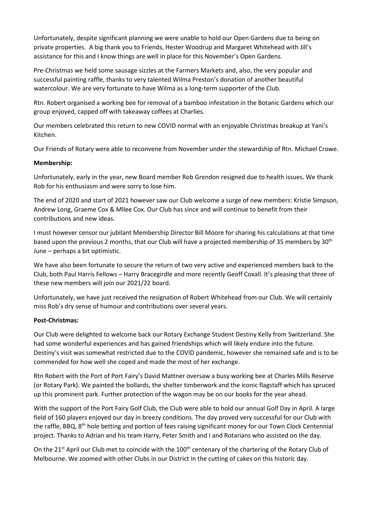Unfortunately, despite significant planning we were unable to hold our Open Gardens due to being on private properties. A big thank you to Friends, Hester Woodrup and Margaret Whitehead with Jill's assistance for this and I know things are well in place for this November's Open Gardens.

Pre-Christmas we held some sausage sizzles at the Farmers Markets and, also, the very popular and successful painting raffle, thanks to very talented Wilma Preston's donation of another beautiful watercolour. We are very fortunate to have Wilma as a long-term supporter of the Club.

Rtn. Robert organised a working bee for removal of a bamboo infestation in the Botanic Gardens which our group enjoyed, capped off with takeaway coffees at Charlies.

Our members celebrated this return to new COVID normal with an enjoyable Christmas breakup at Yani's Kitchen.

Our Friends of Rotary were able to reconvene from November under the stewardship of Rtn. Michael Crowe.

#### **Membership:**

Unfortunately, early in the year, new Board member Rob Grendon resigned due to health issues. We thank Rob for his enthusiasm and were sorry to lose him.

The end of 2020 and start of 2021 however saw our Club welcome a surge of new members: Kristie Simpson, Andrew Long, Graeme Cox & Mllee Cox. Our Club has since and will continue to benefit from their contributions and new ideas.

I must however censor our jubilant Membership Director Bill Moore for sharing his calculations at that time based upon the previous 2 months, that our Club will have a projected membership of 35 members by 30<sup>th</sup> June – perhaps a bit optimistic.

We have also been fortunate to secure the return of two very active and experienced members back to the Club, both Paul Harris Fellows – Harry Bracegirdle and more recently Geoff Coxall. It's pleasing that three of these new members will join our 2021/22 board.

Unfortunately, we have just received the resignation of Robert Whitehead from our Club. We will certainly miss Rob's dry sense of humour and contributions over several years.

#### **Post-Christmas:**

Our Club were delighted to welcome back our Rotary Exchange Student Destiny Kelly from Switzerland. She had some wonderful experiences and has gained friendships which will likely endure into the future. Destiny's visit was somewhat restricted due to the COVID pandemic, however she remained safe and is to be commended for how well she coped and made the most of her exchange.

Rtn Robert with the Port of Port Fairy's David Mattner oversaw a busy working bee at Charles Mills Reserve (or Rotary Park). We painted the bollards, the shelter timberwork and the iconic flagstaff which has spruced up this prominent park. Further protection of the wagon may be on our books for the year ahead.

With the support of the Port Fairy Golf Club, the Club were able to hold our annual Golf Day in April. A large field of 160 players enjoyed our day in breezy conditions. The day proved very successful for our Club with the raffle, BBQ, 8<sup>th</sup> hole betting and portion of fees raising significant money for our Town Clock Centennial project. Thanks to Adrian and his team Harry, Peter Smith and I and Rotarians who assisted on the day.

On the 21<sup>st</sup> April our Club met to coincide with the  $100<sup>th</sup>$  centenary of the chartering of the Rotary Club of Melbourne. We zoomed with other Clubs in our District in the cutting of cakes on this historic day.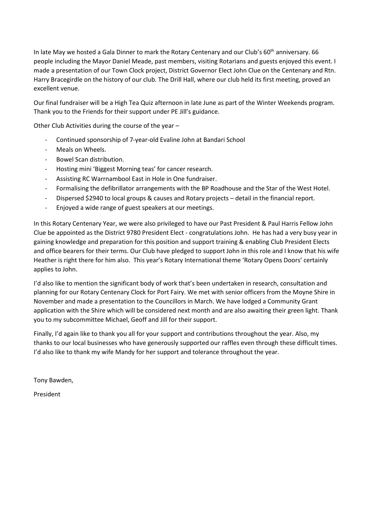In late May we hosted a Gala Dinner to mark the Rotary Centenary and our Club's 60<sup>th</sup> anniversary. 66 people including the Mayor Daniel Meade, past members, visiting Rotarians and guests enjoyed this event. I made a presentation of our Town Clock project, District Governor Elect John Clue on the Centenary and Rtn. Harry Bracegirdle on the history of our club. The Drill Hall, where our club held its first meeting, proved an excellent venue.

Our final fundraiser will be a High Tea Quiz afternoon in late June as part of the Winter Weekends program. Thank you to the Friends for their support under PE Jill's guidance.

Other Club Activities during the course of the year –

- Continued sponsorship of 7-year-old Evaline John at Bandari School
- Meals on Wheels.
- Bowel Scan distribution.
- Hosting mini 'Biggest Morning teas' for cancer research.
- Assisting RC Warrnambool East in Hole in One fundraiser.
- Formalising the defibrillator arrangements with the BP Roadhouse and the Star of the West Hotel.
- Dispersed \$2940 to local groups & causes and Rotary projects detail in the financial report.
- Enjoyed a wide range of guest speakers at our meetings.

In this Rotary Centenary Year, we were also privileged to have our Past President & Paul Harris Fellow John Clue be appointed as the District 9780 President Elect - congratulations John. He has had a very busy year in gaining knowledge and preparation for this position and support training & enabling Club President Elects and office bearers for their terms. Our Club have pledged to support John in this role and I know that his wife Heather is right there for him also. This year's Rotary International theme 'Rotary Opens Doors' certainly applies to John.

I'd also like to mention the significant body of work that's been undertaken in research, consultation and planning for our Rotary Centenary Clock for Port Fairy. We met with senior officers from the Moyne Shire in November and made a presentation to the Councillors in March. We have lodged a Community Grant application with the Shire which will be considered next month and are also awaiting their green light. Thank you to my subcommittee Michael, Geoff and Jill for their support.

Finally, I'd again like to thank you all for your support and contributions throughout the year. Also, my thanks to our local businesses who have generously supported our raffles even through these difficult times. I'd also like to thank my wife Mandy for her support and tolerance throughout the year.

Tony Bawden,

President